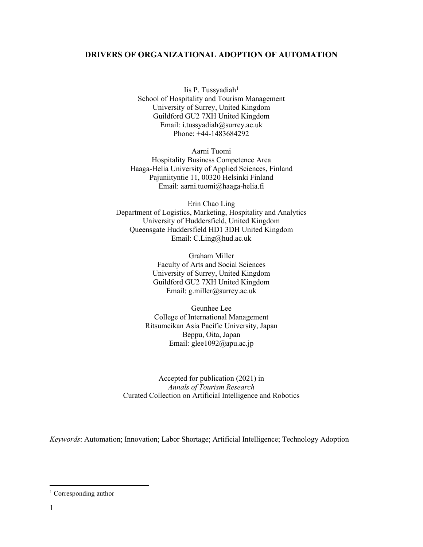#### **DRIVERS OF ORGANIZATIONAL ADOPTION OF AUTOMATION**

Iis P. Tussyadiah $1$ School of Hospitality and Tourism Management University of Surrey, United Kingdom Guildford GU2 7XH United Kingdom Email: i.tussyadiah@surrey.ac.uk Phone: +44-1483684292

Aarni Tuomi Hospitality Business Competence Area Haaga-Helia University of Applied Sciences, Finland Pajuniityntie 11, 00320 Helsinki Finland Email: aarni.tuomi@haaga-helia.fi

Erin Chao Ling Department of Logistics, Marketing, Hospitality and Analytics University of Huddersfield, United Kingdom Queensgate Huddersfield HD1 3DH United Kingdom Email: C.Ling@hud.ac.uk

> Graham Miller Faculty of Arts and Social Sciences University of Surrey, United Kingdom Guildford GU2 7XH United Kingdom Email: g.miller@surrey.ac.uk

Geunhee Lee College of International Management Ritsumeikan Asia Pacific University, Japan Beppu, Oita, Japan Email: glee1092@apu.ac.jp

Accepted for publication (2021) in *Annals of Tourism Research*  Curated Collection on Artificial Intelligence and Robotics

*Keywords*: Automation; Innovation; Labor Shortage; Artificial Intelligence; Technology Adoption

<span id="page-0-0"></span><sup>&</sup>lt;sup>1</sup> Corresponding author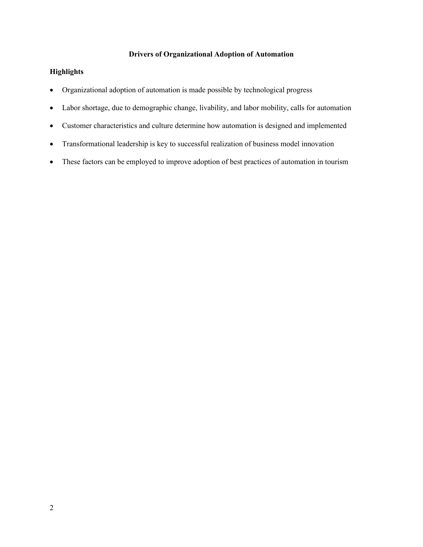## **Drivers of Organizational Adoption of Automation**

#### **Highlights**

- Organizational adoption of automation is made possible by technological progress
- Labor shortage, due to demographic change, livability, and labor mobility, calls for automation
- Customer characteristics and culture determine how automation is designed and implemented
- Transformational leadership is key to successful realization of business model innovation
- These factors can be employed to improve adoption of best practices of automation in tourism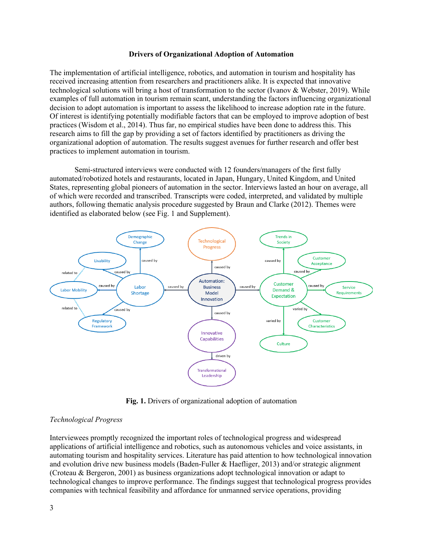#### **Drivers of Organizational Adoption of Automation**

The implementation of artificial intelligence, robotics, and automation in tourism and hospitality has received increasing attention from researchers and practitioners alike. It is expected that innovative technological solutions will bring a host of transformation to the sector (Ivanov & Webster, 2019). While examples of full automation in tourism remain scant, understanding the factors influencing organizational decision to adopt automation is important to assess the likelihood to increase adoption rate in the future. Of interest is identifying potentially modifiable factors that can be employed to improve adoption of best practices (Wisdom et al., 2014). Thus far, no empirical studies have been done to address this. This research aims to fill the gap by providing a set of factors identified by practitioners as driving the organizational adoption of automation. The results suggest avenues for further research and offer best practices to implement automation in tourism.

Semi-structured interviews were conducted with 12 founders/managers of the first fully automated/robotized hotels and restaurants, located in Japan, Hungary, United Kingdom, and United States, representing global pioneers of automation in the sector. Interviews lasted an hour on average, all of which were recorded and transcribed. Transcripts were coded, interpreted, and validated by multiple authors, following thematic analysis procedure suggested by Braun and Clarke (2012). Themes were identified as elaborated below (see Fig. 1 and Supplement).



**Fig. 1.** Drivers of organizational adoption of automation

#### *Technological Progress*

Interviewees promptly recognized the important roles of technological progress and widespread applications of artificial intelligence and robotics, such as autonomous vehicles and voice assistants, in automating tourism and hospitality services. Literature has paid attention to how technological innovation and evolution drive new business models (Baden-Fuller & Haefliger, 2013) and/or strategic alignment (Croteau & Bergeron, 2001) as business organizations adopt technological innovation or adapt to technological changes to improve performance. The findings suggest that technological progress provides companies with technical feasibility and affordance for unmanned service operations, providing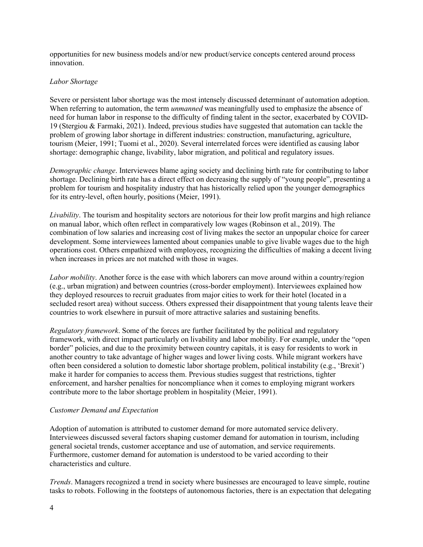opportunities for new business models and/or new product/service concepts centered around process innovation.

#### *Labor Shortage*

Severe or persistent labor shortage was the most intensely discussed determinant of automation adoption. When referring to automation, the term *unmanned* was meaningfully used to emphasize the absence of need for human labor in response to the difficulty of finding talent in the sector, exacerbated by COVID-19 (Stergiou & Farmaki, 2021). Indeed, previous studies have suggested that automation can tackle the problem of growing labor shortage in different industries: construction, manufacturing, agriculture, tourism (Meier, 1991; Tuomi et al., 2020). Several interrelated forces were identified as causing labor shortage: demographic change, livability, labor migration, and political and regulatory issues.

*Demographic change*. Interviewees blame aging society and declining birth rate for contributing to labor shortage. Declining birth rate has a direct effect on decreasing the supply of "young people", presenting a problem for tourism and hospitality industry that has historically relied upon the younger demographics for its entry-level, often hourly, positions (Meier, 1991).

*Livability*. The tourism and hospitality sectors are notorious for their low profit margins and high reliance on manual labor, which often reflect in comparatively low wages (Robinson et al., 2019). The combination of low salaries and increasing cost of living makes the sector an unpopular choice for career development. Some interviewees lamented about companies unable to give livable wages due to the high operations cost. Others empathized with employees, recognizing the difficulties of making a decent living when increases in prices are not matched with those in wages.

*Labor mobility*. Another force is the ease with which laborers can move around within a country/region (e.g., urban migration) and between countries (cross-border employment). Interviewees explained how they deployed resources to recruit graduates from major cities to work for their hotel (located in a secluded resort area) without success. Others expressed their disappointment that young talents leave their countries to work elsewhere in pursuit of more attractive salaries and sustaining benefits.

*Regulatory framework*. Some of the forces are further facilitated by the political and regulatory framework, with direct impact particularly on livability and labor mobility. For example, under the "open border" policies, and due to the proximity between country capitals, it is easy for residents to work in another country to take advantage of higher wages and lower living costs. While migrant workers have often been considered a solution to domestic labor shortage problem, political instability (e.g., 'Brexit') make it harder for companies to access them. Previous studies suggest that restrictions, tighter enforcement, and harsher penalties for noncompliance when it comes to employing migrant workers contribute more to the labor shortage problem in hospitality (Meier, 1991).

#### *Customer Demand and Expectation*

Adoption of automation is attributed to customer demand for more automated service delivery. Interviewees discussed several factors shaping customer demand for automation in tourism, including general societal trends, customer acceptance and use of automation, and service requirements. Furthermore, customer demand for automation is understood to be varied according to their characteristics and culture.

*Trends*. Managers recognized a trend in society where businesses are encouraged to leave simple, routine tasks to robots. Following in the footsteps of autonomous factories, there is an expectation that delegating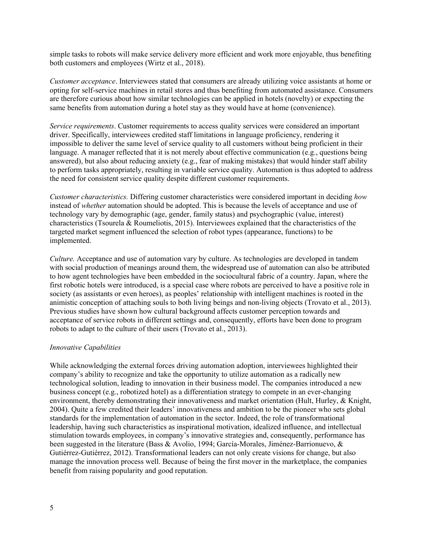simple tasks to robots will make service delivery more efficient and work more enjoyable, thus benefiting both customers and employees (Wirtz et al., 2018).

*Customer acceptance*. Interviewees stated that consumers are already utilizing voice assistants at home or opting for self-service machines in retail stores and thus benefiting from automated assistance. Consumers are therefore curious about how similar technologies can be applied in hotels (novelty) or expecting the same benefits from automation during a hotel stay as they would have at home (convenience).

*Service requirements*. Customer requirements to access quality services were considered an important driver. Specifically, interviewees credited staff limitations in language proficiency, rendering it impossible to deliver the same level of service quality to all customers without being proficient in their language. A manager reflected that it is not merely about effective communication (e.g., questions being answered), but also about reducing anxiety (e.g., fear of making mistakes) that would hinder staff ability to perform tasks appropriately, resulting in variable service quality. Automation is thus adopted to address the need for consistent service quality despite different customer requirements.

*Customer characteristics.* Differing customer characteristics were considered important in deciding *how* instead of *whether* automation should be adopted. This is because the levels of acceptance and use of technology vary by demographic (age, gender, family status) and psychographic (value, interest) characteristics (Tsourela & Roumeliotis, 2015). Interviewees explained that the characteristics of the targeted market segment influenced the selection of robot types (appearance, functions) to be implemented.

*Culture.* Acceptance and use of automation vary by culture. As technologies are developed in tandem with social production of meanings around them, the widespread use of automation can also be attributed to how agent technologies have been embedded in the sociocultural fabric of a country. Japan, where the first robotic hotels were introduced, is a special case where robots are perceived to have a positive role in society (as assistants or even heroes), as peoples' relationship with intelligent machines is rooted in the animistic conception of attaching souls to both living beings and non-living objects (Trovato et al., 2013). Previous studies have shown how cultural background affects customer perception towards and acceptance of service robots in different settings and, consequently, efforts have been done to program robots to adapt to the culture of their users (Trovato et al., 2013).

#### *Innovative Capabilities*

While acknowledging the external forces driving automation adoption, interviewees highlighted their company's ability to recognize and take the opportunity to utilize automation as a radically new technological solution, leading to innovation in their business model. The companies introduced a new business concept (e.g., robotized hotel) as a differentiation strategy to compete in an ever-changing environment, thereby demonstrating their innovativeness and market orientation (Hult, Hurley, & Knight, 2004). Quite a few credited their leaders' innovativeness and ambition to be the pioneer who sets global standards for the implementation of automation in the sector. Indeed, the role of transformational leadership, having such characteristics as inspirational motivation, idealized influence, and intellectual stimulation towards employees, in company's innovative strategies and, consequently, performance has been suggested in the literature (Bass & Avolio, 1994; García-Morales, Jiménez-Barrionuevo, & Gutiérrez-Gutiérrez, 2012). Transformational leaders can not only create visions for change, but also manage the innovation process well. Because of being the first mover in the marketplace, the companies benefit from raising popularity and good reputation.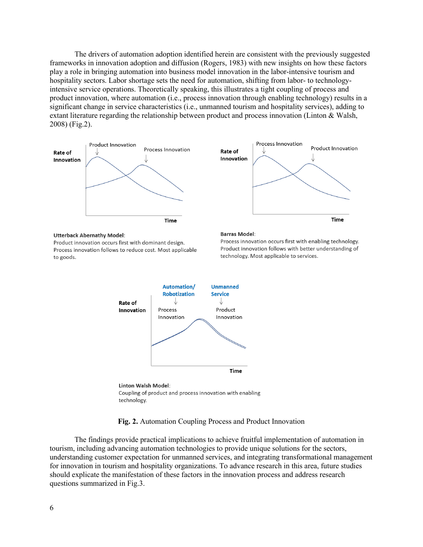The drivers of automation adoption identified herein are consistent with the previously suggested frameworks in innovation adoption and diffusion (Rogers, 1983) with new insights on how these factors play a role in bringing automation into business model innovation in the labor-intensive tourism and hospitality sectors. Labor shortage sets the need for automation, shifting from labor- to technologyintensive service operations. Theoretically speaking, this illustrates a tight coupling of process and product innovation, where automation (i.e., process innovation through enabling technology) results in a significant change in service characteristics (i.e., unmanned tourism and hospitality services), adding to extant literature regarding the relationship between product and process innovation (Linton & Walsh, 2008) (Fig.2).





**Linton Walsh Model:** Coupling of product and process innovation with enabling technology.

**Fig. 2.** Automation Coupling Process and Product Innovation

The findings provide practical implications to achieve fruitful implementation of automation in tourism, including advancing automation technologies to provide unique solutions for the sectors, understanding customer expectation for unmanned services, and integrating transformational management for innovation in tourism and hospitality organizations. To advance research in this area, future studies should explicate the manifestation of these factors in the innovation process and address research questions summarized in Fig.3.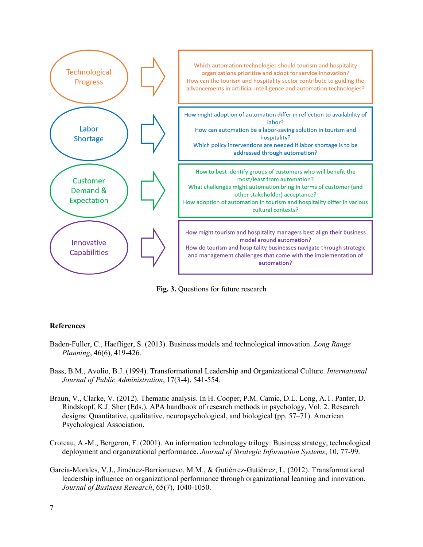

**Fig. 3.** Questions for future research

#### **References**

- Baden-Fuller, C., Haefliger, S. (2013). Business models and technological innovation. *Long Range Planning*, 46(6), 419-426.
- Bass, B.M., Avolio, B.J. (1994). Transformational Leadership and Organizational Culture. *International Journal of Public Administration*, 17(3-4), 541-554.
- Braun, V., Clarke, V. (2012). Thematic analysis. In H. Cooper, P.M. Camic, D.L. Long, A.T. Panter, D. Rindskopf, K.J. Sher (Eds.), APA handbook of research methods in psychology, Vol. 2. Research designs: Quantitative, qualitative, neuropsychological, and biological (pp. 57–71). American Psychological Association.
- Croteau, A.-M., Bergeron, F. (2001). An information technology trilogy: Business strategy, technological deployment and organizational performance. *Journal of Strategic Information Systems*, 10, 77-99.
- García-Morales, V.J., Jiménez-Barrionuevo, M.M., & Gutiérrez-Gutiérrez, L. (2012). Transformational leadership influence on organizational performance through organizational learning and innovation. *Journal of Business Research*, 65(7), 1040-1050.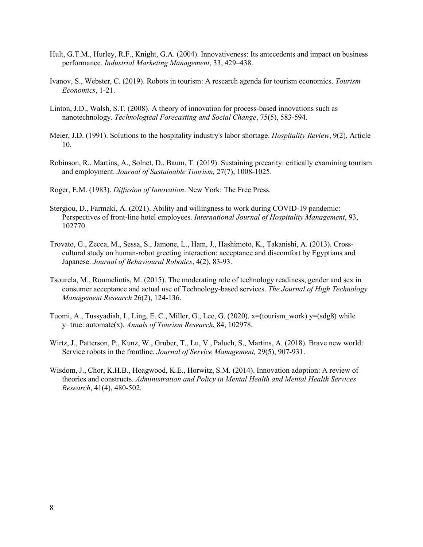- Hult, G.T.M., Hurley, R.F., Knight, G.A. (2004). Innovativeness: Its antecedents and impact on business performance. *Industrial Marketing Management*, 33, 429–438.
- Ivanov, S., Webster, C. (2019). Robots in tourism: A research agenda for tourism economics. *Tourism Economics*, 1-21.
- Linton, J.D., Walsh, S.T. (2008). A theory of innovation for process-based innovations such as nanotechnology. *Technological Forecasting and Social Change*, 75(5), 583-594.
- Meier, J.D. (1991). Solutions to the hospitality industry's labor shortage. *Hospitality Review*, 9(2), Article 10.
- Robinson, R., Martins, A., Solnet, D., Baum, T. (2019). Sustaining precarity: critically examining tourism and employment. *Journal of Sustainable Tourism,* 27(7), 1008-1025.
- Roger, E.M. (1983). *Diffusion of Innovation*. New York: The Free Press.
- Stergiou, D., Farmaki, A. (2021). Ability and willingness to work during COVID-19 pandemic: Perspectives of front-line hotel employees. *International Journal of Hospitality Management*, 93, 102770.
- Trovato, G., Zecca, M., Sessa, S., Jamone, L., Ham, J., Hashimoto, K., Takanishi, A. (2013). Crosscultural study on human-robot greeting interaction: acceptance and discomfort by Egyptians and Japanese. *Journal of Behavioural Robotics*, 4(2), 83-93.
- Tsourela, M., Roumeliotis, M. (2015). The moderating role of technology readiness, gender and sex in consumer acceptance and actual use of Technology-based services. *The Journal of High Technology Management Research* 26(2), 124-136.
- Tuomi, A., Tussyadiah, I., Ling, E. C., Miller, G., Lee, G. (2020). x=(tourism\_work) y=(sdg8) while y=true: automate(x). *Annals of Tourism Research*, 84, 102978.
- Wirtz, J., Patterson, P., Kunz, W., Gruber, T., Lu, V., Paluch, S., Martins, A. (2018). Brave new world: Service robots in the frontline. *Journal of Service Management,* 29(5), 907-931.
- Wisdom, J., Chor, K.H.B., Hoagwood, K.E., Horwitz, S.M. (2014). Innovation adoption: A review of theories and constructs. *Administration and Policy in Mental Health and Mental Health Services Research*, 41(4), 480-502.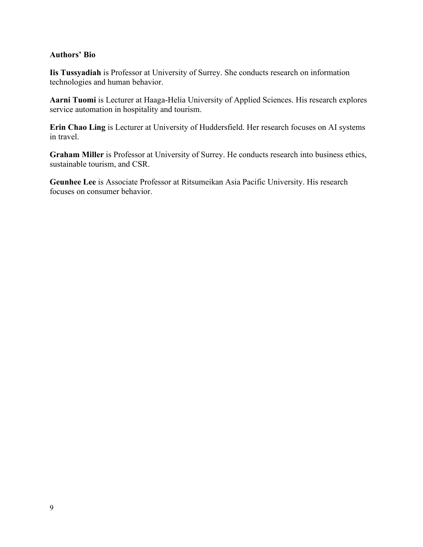### **Authors' Bio**

**Iis Tussyadiah** is Professor at University of Surrey. She conducts research on information technologies and human behavior.

**Aarni Tuomi** is Lecturer at Haaga-Helia University of Applied Sciences. His research explores service automation in hospitality and tourism.

**Erin Chao Ling** is Lecturer at University of Huddersfield. Her research focuses on AI systems in travel.

**Graham Miller** is Professor at University of Surrey. He conducts research into business ethics, sustainable tourism, and CSR.

**Geunhee Lee** is Associate Professor at Ritsumeikan Asia Pacific University. His research focuses on consumer behavior.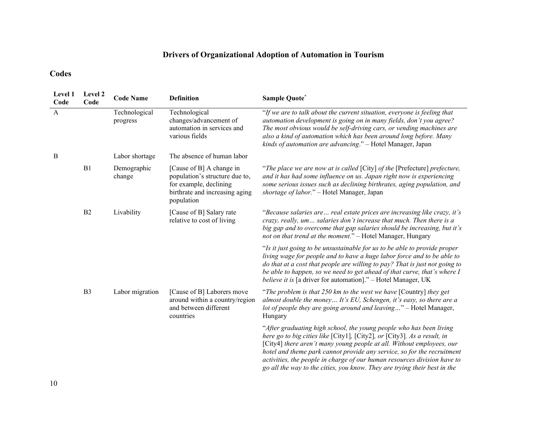# **Drivers of Organizational Adoption of Automation in Tourism**

## **Codes**

| Level 1<br>Code | Level 2<br>Code | <b>Code Name</b>          | <b>Definition</b>                                                                                                                    | Sample Quote*                                                                                                                                                                                                                                                                                                                                                                                                                                                |
|-----------------|-----------------|---------------------------|--------------------------------------------------------------------------------------------------------------------------------------|--------------------------------------------------------------------------------------------------------------------------------------------------------------------------------------------------------------------------------------------------------------------------------------------------------------------------------------------------------------------------------------------------------------------------------------------------------------|
| $\mathbf{A}$    |                 | Technological<br>progress | Technological<br>changes/advancement of<br>automation in services and<br>various fields                                              | "If we are to talk about the current situation, everyone is feeling that<br>automation development is going on in many fields, don't you agree?<br>The most obvious would be self-driving cars, or vending machines are<br>also a kind of automation which has been around long before. Many<br>kinds of automation are advancing." - Hotel Manager, Japan                                                                                                   |
| B               |                 | Labor shortage            | The absence of human labor                                                                                                           |                                                                                                                                                                                                                                                                                                                                                                                                                                                              |
|                 | B1              | Demographic<br>change     | [Cause of B] A change in<br>population's structure due to,<br>for example, declining<br>birthrate and increasing aging<br>population | "The place we are now at is called [City] of the [Prefecture] prefecture,<br>and it has had some influence on us. Japan right now is experiencing<br>some serious issues such as declining birthrates, aging population, and<br>shortage of labor." - Hotel Manager, Japan                                                                                                                                                                                   |
|                 | B <sub>2</sub>  | Livability                | [Cause of B] Salary rate<br>relative to cost of living                                                                               | "Because salaries are real estate prices are increasing like crazy, it's<br>crazy, really, um salaries don't increase that much. Then there is a<br>big gap and to overcome that gap salaries should be increasing, but it's<br>not on that trend at the moment." - Hotel Manager, Hungary                                                                                                                                                                   |
|                 |                 |                           |                                                                                                                                      | "Is it just going to be unsustainable for us to be able to provide proper<br>living wage for people and to have a huge labor force and to be able to<br>do that at a cost that people are willing to pay? That is just not going to<br>be able to happen, so we need to get ahead of that curve, that's where I<br><i>believe it is</i> [a driver for automation]." - Hotel Manager, UK                                                                      |
|                 | B <sub>3</sub>  | Labor migration           | [Cause of B] Laborers move<br>around within a country/region<br>and between different<br>countries                                   | "The problem is that 250 km to the west we have [Country] they get<br>almost double the money It's EU, Schengen, it's easy, so there are a<br>lot of people they are going around and leaving" - Hotel Manager,<br>Hungary                                                                                                                                                                                                                                   |
|                 |                 |                           |                                                                                                                                      | "After graduating high school, the young people who has been living<br>here go to big cities like [City1], [City2], or [City3]. As a result, in<br>[City4] there aren't many young people at all. Without employees, our<br>hotel and theme park cannot provide any service, so for the recruitment<br>activities, the people in charge of our human resources division have to<br>go all the way to the cities, you know. They are trying their best in the |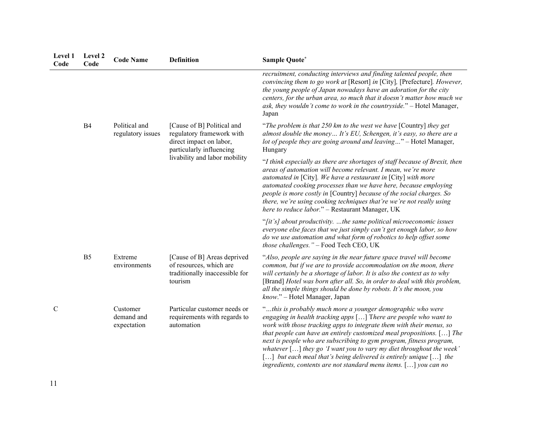| Level 1<br>Code | Level 2<br>Code | <b>Code Name</b>                      | <b>Definition</b>                                                                                                                                                                                                                                                                                                      | <b>Sample Quote*</b>                                                                                                                                                                                                                                                                                                                                                                                                                                                                                                                                                          |
|-----------------|-----------------|---------------------------------------|------------------------------------------------------------------------------------------------------------------------------------------------------------------------------------------------------------------------------------------------------------------------------------------------------------------------|-------------------------------------------------------------------------------------------------------------------------------------------------------------------------------------------------------------------------------------------------------------------------------------------------------------------------------------------------------------------------------------------------------------------------------------------------------------------------------------------------------------------------------------------------------------------------------|
|                 |                 |                                       |                                                                                                                                                                                                                                                                                                                        | recruitment, conducting interviews and finding talented people, then<br>convincing them to go work at [Resort] in [City], [Prefecture]. However,<br>the young people of Japan nowadays have an adoration for the city<br>centers, for the urban area, so much that it doesn't matter how much we<br>ask, they wouldn't come to work in the countryside." - Hotel Manager,<br>Japan                                                                                                                                                                                            |
|                 | B <sub>4</sub>  | Political and<br>regulatory issues    | [Cause of B] Political and<br>regulatory framework with<br>direct impact on labor,<br>particularly influencing<br>livability and labor mobility<br>[Cause of B] Areas deprived<br>of resources, which are<br>traditionally inaccessible for<br>tourism<br>Particular customer needs or<br>requirements with regards to | "The problem is that 250 km to the west we have [Country] they get<br>almost double the money It's EU, Schengen, it's easy, so there are a<br>lot of people they are going around and leaving" - Hotel Manager,<br>Hungary                                                                                                                                                                                                                                                                                                                                                    |
|                 |                 |                                       |                                                                                                                                                                                                                                                                                                                        | "I think especially as there are shortages of staff because of Brexit, then<br>areas of automation will become relevant. I mean, we're more<br>automated in [City]. We have a restaurant in [City] with more<br>automated cooking processes than we have here, because employing<br>people is more costly in [Country] because of the social charges. So<br>there, we're using cooking techniques that're we're not really using<br>here to reduce labor." - Restaurant Manager, UK                                                                                           |
|                 |                 |                                       |                                                                                                                                                                                                                                                                                                                        | "[it's] about productivity. the same political microeconomic issues<br>everyone else faces that we just simply can't get enough labor, so how<br>do we use automation and what form of robotics to help offset some<br>those challenges." - Food Tech CEO, UK                                                                                                                                                                                                                                                                                                                 |
|                 | B <sub>5</sub>  | Extreme<br>environments               |                                                                                                                                                                                                                                                                                                                        | "Also, people are saying in the near future space travel will become<br>common, but if we are to provide accommodation on the moon, there<br>will certainly be a shortage of labor. It is also the context as to why<br>[Brand] Hotel was born after all. So, in order to deal with this problem,<br>all the simple things should be done by robots. It's the moon, you<br>know." - Hotel Manager, Japan                                                                                                                                                                      |
| $\mathcal{C}$   |                 | Customer<br>demand and<br>expectation | automation                                                                                                                                                                                                                                                                                                             | "this is probably much more a younger demographic who were<br>engaging in health tracking apps [] There are people who want to<br>work with those tracking apps to integrate them with their menus, so<br>that people can have an entirely customized meal propositions. $[]$ The<br>next is people who are subscribing to gym program, fitness program,<br>whatever $[]$ they go 'I want you to vary my diet throughout the week'<br>[] but each meal that's being delivered is entirely unique [] the<br>ingredients, contents are not standard menu items. $[]$ you can no |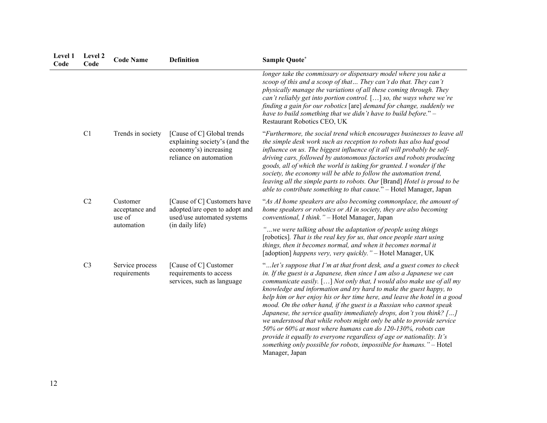| Level 1<br>Code | Level 2<br>Code | <b>Code Name</b>                     | <b>Definition</b>                                                                                              | Sample Quote*                                                                                                                                                                                                                                                                                                                                                                                                                                                                                                                                                                                                                                                                                                                                                                                                                               |
|-----------------|-----------------|--------------------------------------|----------------------------------------------------------------------------------------------------------------|---------------------------------------------------------------------------------------------------------------------------------------------------------------------------------------------------------------------------------------------------------------------------------------------------------------------------------------------------------------------------------------------------------------------------------------------------------------------------------------------------------------------------------------------------------------------------------------------------------------------------------------------------------------------------------------------------------------------------------------------------------------------------------------------------------------------------------------------|
|                 |                 |                                      |                                                                                                                | longer take the commissary or dispensary model where you take a<br>scoop of this and a scoop of that They can't do that. They can't<br>physically manage the variations of all these coming through. They<br>can't reliably get into portion control. [] so, the ways where we're<br>finding a gain for our robotics [are] demand for change, suddenly we<br>have to build something that we didn't have to build before." $-$<br>Restaurant Robotics CEO, UK                                                                                                                                                                                                                                                                                                                                                                               |
|                 | C1              | Trends in society                    | [Cause of C] Global trends<br>explaining society's (and the<br>economy's) increasing<br>reliance on automation | "Furthermore, the social trend which encourages businesses to leave all<br>the simple desk work such as reception to robots has also had good<br>influence on us. The biggest influence of it all will probably be self-<br>driving cars, followed by autonomous factories and robots producing<br>goods, all of which the world is taking for granted. I wonder if the<br>society, the economy will be able to follow the automation trend,<br>leaving all the simple parts to robots. Our [Brand] Hotel is proud to be<br>able to contribute something to that cause." - Hotel Manager, Japan                                                                                                                                                                                                                                             |
|                 | C2              | Customer<br>acceptance and<br>use of | [Cause of C] Customers have<br>adopted/are open to adopt and<br>used/use automated systems                     | "As AI home speakers are also becoming commonplace, the amount of<br>home speakers or robotics or AI in society, they are also becoming<br>conventional, I think." - Hotel Manager, Japan                                                                                                                                                                                                                                                                                                                                                                                                                                                                                                                                                                                                                                                   |
|                 |                 | automation                           | (in daily life)                                                                                                | "we were talking about the adaptation of people using things<br>[robotics]. That is the real key for us, that once people start using<br>things, then it becomes normal, and when it becomes normal it<br>[adoption] happens very, very quickly." - Hotel Manager, UK                                                                                                                                                                                                                                                                                                                                                                                                                                                                                                                                                                       |
|                 | C <sub>3</sub>  | Service process<br>requirements      | [Cause of C] Customer<br>requirements to access<br>services, such as language                                  | "let's suppose that I'm at that front desk, and a guest comes to check<br>in. If the guest is a Japanese, then since $I$ am also a Japanese we can<br>communicate easily. $[]$ Not only that, I would also make use of all my<br>knowledge and information and try hard to make the guest happy, to<br>help him or her enjoy his or her time here, and leave the hotel in a good<br>mood. On the other hand, if the guest is a Russian who cannot speak<br>Japanese, the service quality immediately drops, don't you think? $[]$<br>we understood that while robots might only be able to provide service<br>50% or 60% at most where humans can do 120-130%, robots can<br>provide it equally to everyone regardless of age or nationality. It's<br>something only possible for robots, impossible for humans." - Hotel<br>Manager, Japan |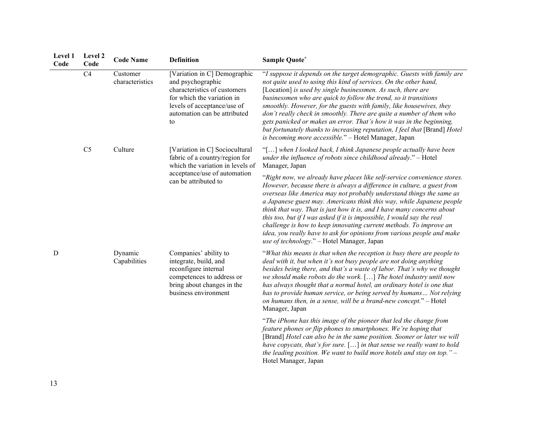| Level 1<br>Code | Level 2<br>Code | <b>Code Name</b>            | <b>Definition</b>                                                                                                                                                                    | Sample Quote*                                                                                                                                                                                                                                                                                                                                                                                                                                                                                                                                                                                                                                         |
|-----------------|-----------------|-----------------------------|--------------------------------------------------------------------------------------------------------------------------------------------------------------------------------------|-------------------------------------------------------------------------------------------------------------------------------------------------------------------------------------------------------------------------------------------------------------------------------------------------------------------------------------------------------------------------------------------------------------------------------------------------------------------------------------------------------------------------------------------------------------------------------------------------------------------------------------------------------|
|                 | C4              | Customer<br>characteristics | [Variation in C] Demographic<br>and psychographic<br>characteristics of customers<br>for which the variation in<br>levels of acceptance/use of<br>automation can be attributed<br>to | "I suppose it depends on the target demographic. Guests with family are<br>not quite used to using this kind of services. On the other hand,<br>[Location] is used by single businessmen. As such, there are<br>businessmen who are quick to follow the trend, so it transitions<br>smoothly. However, for the guests with family, like housewives, they<br>don't really check in smoothly. There are quite a number of them who<br>gets panicked or makes an error. That's how it was in the beginning,<br>but fortunately thanks to increasing reputation, I feel that [Brand] Hotel<br>is becoming more accessible." - Hotel Manager, Japan        |
|                 | C <sub>5</sub>  | Culture                     | [Variation in C] Sociocultural<br>fabric of a country/region for<br>which the variation in levels of<br>acceptance/use of automation<br>can be attributed to                         | "[] when I looked back, I think Japanese people actually have been<br>under the influence of robots since childhood already." - Hotel<br>Manager, Japan                                                                                                                                                                                                                                                                                                                                                                                                                                                                                               |
|                 |                 |                             |                                                                                                                                                                                      | "Right now, we already have places like self-service convenience stores.<br>However, because there is always a difference in culture, a guest from<br>overseas like America may not probably understand things the same as<br>a Japanese guest may. Americans think this way, while Japanese people<br>think that way. That is just how it is, and I have many concerns about<br>this too, but if I was asked if it is impossible, I would say the real<br>challenge is how to keep innovating current methods. To improve an<br>idea, you really have to ask for opinions from various people and make<br>use of technology." - Hotel Manager, Japan |
| D               |                 | Dynamic<br>Capabilities     | Companies' ability to<br>integrate, build, and<br>reconfigure internal<br>competences to address or<br>bring about changes in the<br>business environment                            | "What this means is that when the reception is busy there are people to<br>deal with it, but when it's not busy people are not doing anything<br>besides being there, and that's a waste of labor. That's why we thought<br>we should make robots do the work. $[]$ The hotel industry until now<br>has always thought that a normal hotel, an ordinary hotel is one that<br>has to provide human service, or being served by humans Not relying<br>on humans then, in a sense, will be a brand-new concept." - Hotel<br>Manager, Japan                                                                                                               |
|                 |                 |                             |                                                                                                                                                                                      | "The iPhone has this image of the pioneer that led the change from<br>feature phones or flip phones to smartphones. We're hoping that<br>[Brand] Hotel can also be in the same position. Sooner or later we will<br>have copycats, that's for sure. $[]$ in that sense we really want to hold<br>the leading position. We want to build more hotels and stay on top." $-$                                                                                                                                                                                                                                                                             |

Hotel Manager, Japan